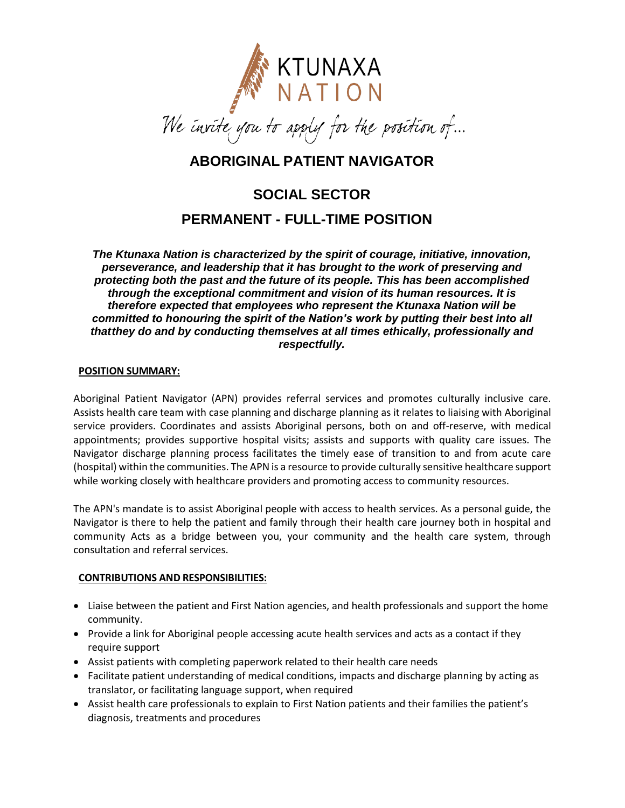

# **ABORIGINAL PATIENT NAVIGATOR**

# **SOCIAL SECTOR PERMANENT - FULL-TIME POSITION**

*The Ktunaxa Nation is characterized by the spirit of courage, initiative, innovation, perseverance, and leadership that it has brought to the work of preserving and protecting both the past and the future of its people. This has been accomplished through the exceptional commitment and vision of its human resources. It is therefore expected that employees who represent the Ktunaxa Nation will be committed to honouring the spirit of the Nation's work by putting their best into all thatthey do and by conducting themselves at all times ethically, professionally and respectfully.*

#### **POSITION SUMMARY:**

Aboriginal Patient Navigator (APN) provides referral services and promotes culturally inclusive care. Assists health care team with case planning and discharge planning as it relates to liaising with Aboriginal service providers. Coordinates and assists Aboriginal persons, both on and off-reserve, with medical appointments; provides supportive hospital visits; assists and supports with quality care issues. The Navigator discharge planning process facilitates the timely ease of transition to and from acute care (hospital) within the communities. The APN is a resource to provide culturally sensitive healthcare support while working closely with healthcare providers and promoting access to community resources.

The APN's mandate is to assist Aboriginal people with access to health services. As a personal guide, the Navigator is there to help the patient and family through their health care journey both in hospital and community Acts as a bridge between you, your community and the health care system, through consultation and referral services.

## **CONTRIBUTIONS AND RESPONSIBILITIES:**

- Liaise between the patient and First Nation agencies, and health professionals and support the home community.
- Provide a link for Aboriginal people accessing acute health services and acts as a contact if they require support
- Assist patients with completing paperwork related to their health care needs
- Facilitate patient understanding of medical conditions, impacts and discharge planning by acting as translator, or facilitating language support, when required
- Assist health care professionals to explain to First Nation patients and their families the patient's diagnosis, treatments and procedures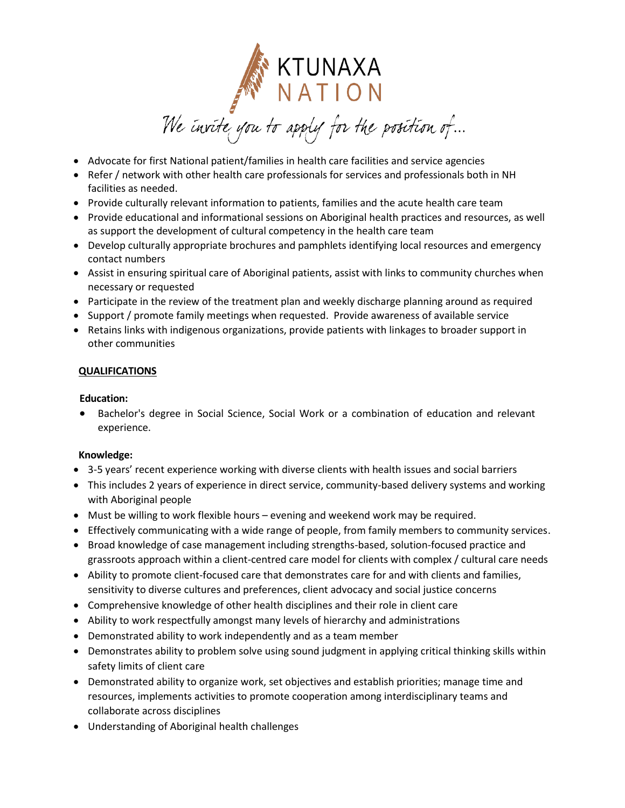

- Advocate for first National patient/families in health care facilities and service agencies
- Refer / network with other health care professionals for services and professionals both in NH facilities as needed.
- Provide culturally relevant information to patients, families and the acute health care team
- Provide educational and informational sessions on Aboriginal health practices and resources, as well as support the development of cultural competency in the health care team
- Develop culturally appropriate brochures and pamphlets identifying local resources and emergency contact numbers
- Assist in ensuring spiritual care of Aboriginal patients, assist with links to community churches when necessary or requested
- Participate in the review of the treatment plan and weekly discharge planning around as required
- Support / promote family meetings when requested. Provide awareness of available service
- Retains links with indigenous organizations, provide patients with linkages to broader support in other communities

## **QUALIFICATIONS**

#### **Education:**

 Bachelor's degree in Social Science, Social Work or a combination of education and relevant experience.

## **Knowledge:**

- 3-5 years' recent experience working with diverse clients with health issues and social barriers
- This includes 2 years of experience in direct service, community-based delivery systems and working with Aboriginal people
- Must be willing to work flexible hours evening and weekend work may be required.
- Effectively communicating with a wide range of people, from family members to community services.
- Broad knowledge of case management including strengths-based, solution-focused practice and grassroots approach within a client-centred care model for clients with complex / cultural care needs
- Ability to promote client-focused care that demonstrates care for and with clients and families, sensitivity to diverse cultures and preferences, client advocacy and social justice concerns
- Comprehensive knowledge of other health disciplines and their role in client care
- Ability to work respectfully amongst many levels of hierarchy and administrations
- Demonstrated ability to work independently and as a team member
- Demonstrates ability to problem solve using sound judgment in applying critical thinking skills within safety limits of client care
- Demonstrated ability to organize work, set objectives and establish priorities; manage time and resources, implements activities to promote cooperation among interdisciplinary teams and collaborate across disciplines
- Understanding of Aboriginal health challenges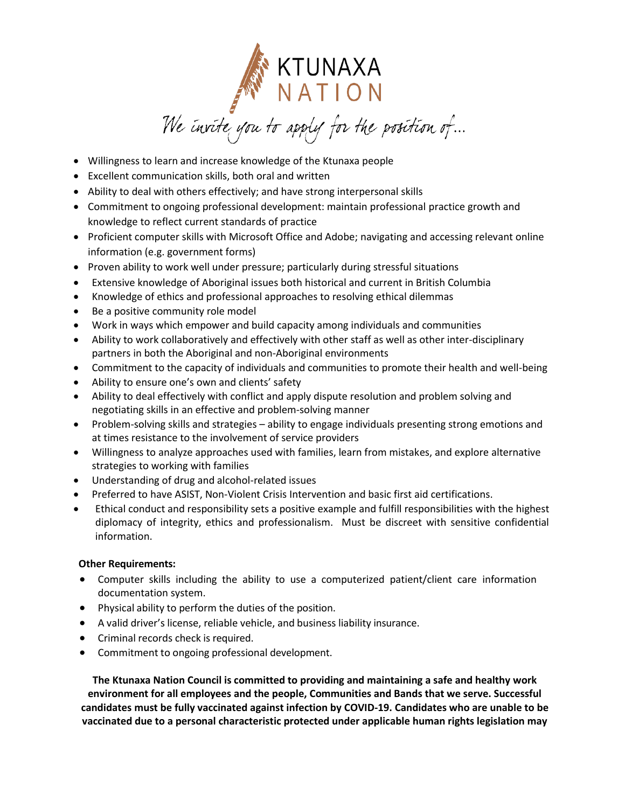

- Willingness to learn and increase knowledge of the Ktunaxa people
- Excellent communication skills, both oral and written
- Ability to deal with others effectively; and have strong interpersonal skills
- Commitment to ongoing professional development: maintain professional practice growth and knowledge to reflect current standards of practice
- Proficient computer skills with Microsoft Office and Adobe; navigating and accessing relevant online information (e.g. government forms)
- Proven ability to work well under pressure; particularly during stressful situations
- Extensive knowledge of Aboriginal issues both historical and current in British Columbia
- Knowledge of ethics and professional approaches to resolving ethical dilemmas
- Be a positive community role model
- Work in ways which empower and build capacity among individuals and communities
- Ability to work collaboratively and effectively with other staff as well as other inter-disciplinary partners in both the Aboriginal and non-Aboriginal environments
- Commitment to the capacity of individuals and communities to promote their health and well-being
- Ability to ensure one's own and clients' safety
- Ability to deal effectively with conflict and apply dispute resolution and problem solving and negotiating skills in an effective and problem-solving manner
- Problem-solving skills and strategies ability to engage individuals presenting strong emotions and at times resistance to the involvement of service providers
- Willingness to analyze approaches used with families, learn from mistakes, and explore alternative strategies to working with families
- Understanding of drug and alcohol-related issues
- Preferred to have ASIST, Non-Violent Crisis Intervention and basic first aid certifications.
- Ethical conduct and responsibility sets a positive example and fulfill responsibilities with the highest diplomacy of integrity, ethics and professionalism. Must be discreet with sensitive confidential information.

## **Other Requirements:**

- Computer skills including the ability to use a computerized patient/client care information documentation system.
- Physical ability to perform the duties of the position.
- A valid driver's license, reliable vehicle, and business liability insurance.
- Criminal records check is required.
- Commitment to ongoing professional development.

**The Ktunaxa Nation Council is committed to providing and maintaining a safe and healthy work environment for all employees and the people, Communities and Bands that we serve. Successful candidates must be fully vaccinated against infection by COVID-19. Candidates who are unable to be vaccinated due to a personal characteristic protected under applicable human rights legislation may**